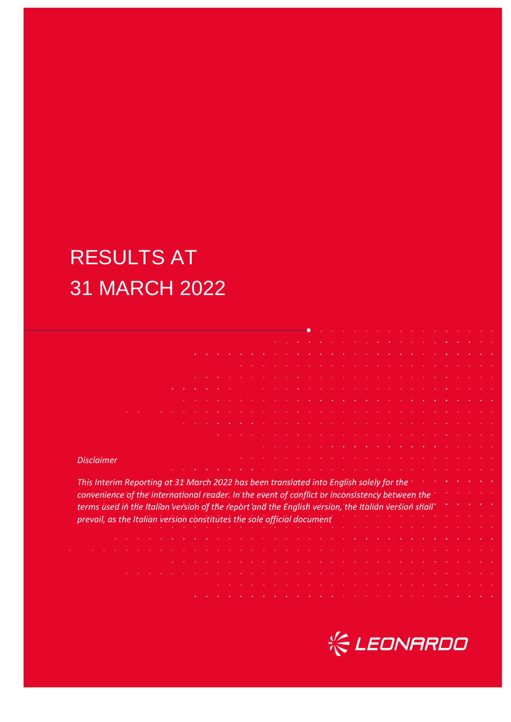# RESULTS AT 31 MARCH 2022

| <b>Disclaimer</b>                                                                                  |  |  |  |  |  |  |  |  |  |  |  |  |  |  |  |  |  |
|----------------------------------------------------------------------------------------------------|--|--|--|--|--|--|--|--|--|--|--|--|--|--|--|--|--|
|                                                                                                    |  |  |  |  |  |  |  |  |  |  |  |  |  |  |  |  |  |
| This Interim Reporting at 31 March 2022 has been translated into English solely for the            |  |  |  |  |  |  |  |  |  |  |  |  |  |  |  |  |  |
|                                                                                                    |  |  |  |  |  |  |  |  |  |  |  |  |  |  |  |  |  |
| convenience of the international reader. In the event of conflict or inconsistency between the     |  |  |  |  |  |  |  |  |  |  |  |  |  |  |  |  |  |
| terms used in the Italian version of the report and the English version, the Italian version shall |  |  |  |  |  |  |  |  |  |  |  |  |  |  |  |  |  |
| prevail, as the Italian version constitutes the sole official document                             |  |  |  |  |  |  |  |  |  |  |  |  |  |  |  |  |  |
|                                                                                                    |  |  |  |  |  |  |  |  |  |  |  |  |  |  |  |  |  |
|                                                                                                    |  |  |  |  |  |  |  |  |  |  |  |  |  |  |  |  |  |
|                                                                                                    |  |  |  |  |  |  |  |  |  |  |  |  |  |  |  |  |  |
|                                                                                                    |  |  |  |  |  |  |  |  |  |  |  |  |  |  |  |  |  |
|                                                                                                    |  |  |  |  |  |  |  |  |  |  |  |  |  |  |  |  |  |
|                                                                                                    |  |  |  |  |  |  |  |  |  |  |  |  |  |  |  |  |  |
|                                                                                                    |  |  |  |  |  |  |  |  |  |  |  |  |  |  |  |  |  |
|                                                                                                    |  |  |  |  |  |  |  |  |  |  |  |  |  |  |  |  |  |
|                                                                                                    |  |  |  |  |  |  |  |  |  |  |  |  |  |  |  |  |  |

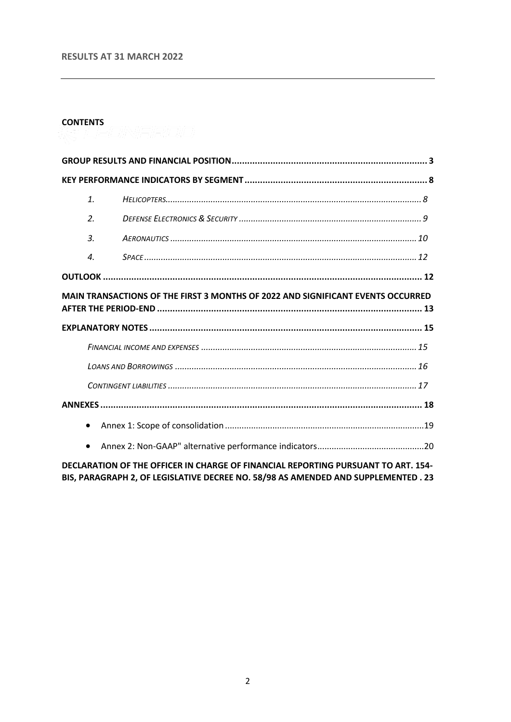#### **RESULTS AT 31 MARCH 2022**

#### **CONTENTS**

| $\mathbf{1}$ .     |                                                                                 |  |
|--------------------|---------------------------------------------------------------------------------|--|
| $\overline{2}$ .   |                                                                                 |  |
| $\mathcal{A}$ .    |                                                                                 |  |
| $\boldsymbol{A}$ . |                                                                                 |  |
|                    |                                                                                 |  |
|                    |                                                                                 |  |
|                    | MAIN TRANSACTIONS OF THE FIRST 3 MONTHS OF 2022 AND SIGNIFICANT EVENTS OCCURRED |  |
|                    |                                                                                 |  |
|                    |                                                                                 |  |
|                    |                                                                                 |  |
|                    |                                                                                 |  |
|                    |                                                                                 |  |
| $\bullet$          |                                                                                 |  |

DECLARATION OF THE OFFICER IN CHARGE OF FINANCIAL REPORTING PURSUANT TO ART. 154-BIS, PARAGRAPH 2, OF LEGISLATIVE DECREE NO. 58/98 AS AMENDED AND SUPPLEMENTED . 23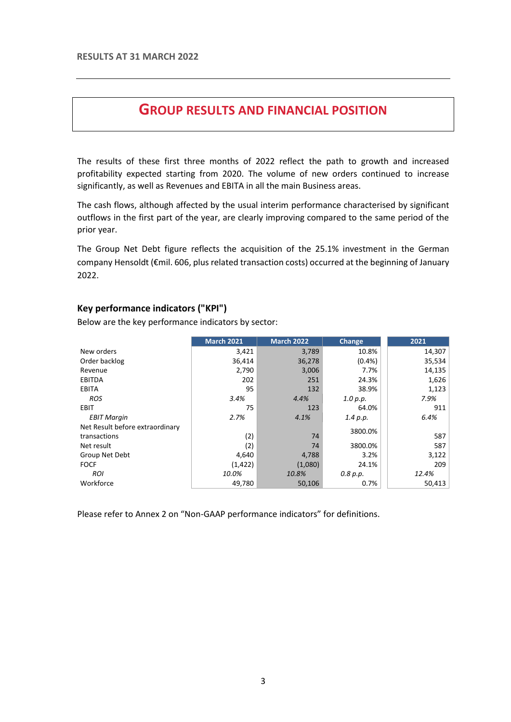## **GROUP RESULTS AND FINANCIAL POSITION**

<span id="page-2-0"></span>The results of these first three months of 2022 reflect the path to growth and increased profitability expected starting from 2020. The volume of new orders continued to increase significantly, as well as Revenues and EBITA in all the main Business areas.

The cash flows, although affected by the usual interim performance characterised by significant outflows in the first part of the year, are clearly improving compared to the same period of the prior year.

The Group Net Debt figure reflects the acquisition of the 25.1% investment in the German company Hensoldt (€mil. 606, plus related transaction costs) occurred at the beginning of January 2022.

#### **Key performance indicators ("KPI")**

Below are the key performance indicators by sector:

|                                 | <b>March 2021</b> | <b>March 2022</b> | <b>Change</b> | 2021   |
|---------------------------------|-------------------|-------------------|---------------|--------|
| New orders                      | 3,421             | 3,789             | 10.8%         | 14,307 |
| Order backlog                   | 36,414            | 36,278            | $(0.4\%)$     | 35,534 |
| Revenue                         | 2,790             | 3,006             | 7.7%          | 14,135 |
| <b>EBITDA</b>                   | 202               | 251               | 24.3%         | 1,626  |
| <b>EBITA</b>                    | 95                | 132               | 38.9%         | 1,123  |
| <b>ROS</b>                      | 3.4%              | 4.4%              | 1.0 p.p.      | 7.9%   |
| EBIT                            | 75                | 123               | 64.0%         | 911    |
| <b>EBIT Margin</b>              | 2.7%              | 4.1%              | 1.4 p.p.      | 6.4%   |
| Net Result before extraordinary |                   |                   | 3800.0%       |        |
| transactions                    | (2)               | 74                |               | 587    |
| Net result                      | (2)               | 74                | 3800.0%       | 587    |
| Group Net Debt                  | 4,640             | 4,788             | 3.2%          | 3,122  |
| <b>FOCF</b>                     | (1, 422)          | (1,080)           | 24.1%         | 209    |
| <b>ROI</b>                      | 10.0%             | 10.8%             | 0.8 p.p.      | 12.4%  |
| Workforce                       | 49,780            | 50,106            | 0.7%          | 50,413 |

Please refer to Annex 2 on "Non-GAAP performance indicators" for definitions.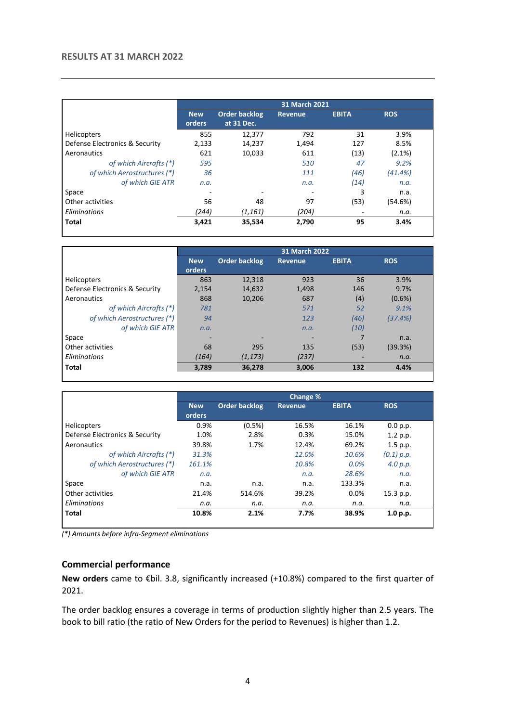#### **RESULTS AT 31 MARCH 2022**

|                                |                      | <b>31 March 2021</b>               |                |              |            |  |  |  |  |
|--------------------------------|----------------------|------------------------------------|----------------|--------------|------------|--|--|--|--|
|                                | <b>New</b><br>orders | <b>Order backlog</b><br>at 31 Dec. | <b>Revenue</b> | <b>EBITA</b> | <b>ROS</b> |  |  |  |  |
| <b>Helicopters</b>             | 855                  | 12,377                             | 792            | 31           | 3.9%       |  |  |  |  |
| Defense Electronics & Security | 2,133                | 14,237                             | 1,494          | 127          | 8.5%       |  |  |  |  |
| Aeronautics                    | 621                  | 10,033                             | 611            | (13)         | $(2.1\%)$  |  |  |  |  |
| of which Aircrafts (*)         | 595                  |                                    | 510            | 47           | 9.2%       |  |  |  |  |
| of which Aerostructures (*)    | 36                   |                                    | 111            | (46)         | $(41.4\%)$ |  |  |  |  |
| of which GIE ATR               | n.a.                 |                                    | n.a.           | (14)         | n.a.       |  |  |  |  |
| Space                          |                      |                                    |                | 3            | n.a.       |  |  |  |  |
| Other activities               | 56                   | 48                                 | 97             | (53)         | (54.6%)    |  |  |  |  |
| Eliminations                   | (244)                | (1, 161)                           | (204)          |              | n.a.       |  |  |  |  |
| <b>Total</b>                   | 3,421                | 35,534                             | 2,790          | 95           | 3.4%       |  |  |  |  |

|                                |                      | <b>31 March 2022</b> |                |              |            |  |  |  |
|--------------------------------|----------------------|----------------------|----------------|--------------|------------|--|--|--|
|                                | <b>New</b><br>orders | <b>Order backlog</b> | <b>Revenue</b> | <b>EBITA</b> | <b>ROS</b> |  |  |  |
| Helicopters                    | 863                  | 12,318               | 923            | 36           | 3.9%       |  |  |  |
| Defense Electronics & Security | 2,154                | 14,632               | 1,498          | 146          | 9.7%       |  |  |  |
| Aeronautics                    | 868                  | 10,206               | 687            | (4)          | $(0.6\%)$  |  |  |  |
| of which Aircrafts (*)         | 781                  |                      | 571            | 52           | 9.1%       |  |  |  |
| of which Aerostructures (*)    | 94                   |                      | 123            | (46)         | (37.4%)    |  |  |  |
| of which GIE ATR               | n.a.                 |                      | n.a.           | (10)         |            |  |  |  |
| Space                          |                      |                      |                |              | n.a.       |  |  |  |
| Other activities               | 68                   | 295                  | 135            | (53)         | (39.3%)    |  |  |  |
| Eliminations                   | (164)                | (1, 173)             | (237)          |              | n.a.       |  |  |  |
| Total                          | 3,789                | 36,278               | 3,006          | 132          | 4.4%       |  |  |  |
|                                |                      |                      |                |              |            |  |  |  |

|                                |            |                      | Change %       |              |            |  |
|--------------------------------|------------|----------------------|----------------|--------------|------------|--|
|                                | <b>New</b> | <b>Order backlog</b> | <b>Revenue</b> | <b>EBITA</b> | <b>ROS</b> |  |
|                                | orders     |                      |                |              |            |  |
| Helicopters                    | 0.9%       | $(0.5\%)$            | 16.5%          | 16.1%        | 0.0 p.p.   |  |
| Defense Electronics & Security | 1.0%       | 2.8%                 | 0.3%           | 15.0%        | 1.2 p.p.   |  |
| Aeronautics                    | 39.8%      | 1.7%                 | 12.4%          | 69.2%        | 1.5 p.p.   |  |
| of which Aircrafts (*)         | 31.3%      |                      | 12.0%          | 10.6%        | (0.1) p.p. |  |
| of which Aerostructures (*)    | 161.1%     |                      | 10.8%          | $0.0\%$      | 4.0 p.p.   |  |
| of which GIE ATR               | n.a.       |                      | n.a.           | 28.6%        | n.a.       |  |
| Space                          | n.a.       | n.a.                 | n.a.           | 133.3%       | n.a.       |  |
| Other activities               | 21.4%      | 514.6%               | 39.2%          | 0.0%         | 15.3 p.p.  |  |
| Eliminations                   | n.a.       | n.a.                 | n.a.           | n.a.         | n.a.       |  |
| Total                          | 10.8%      | 2.1%                 | 7.7%           | 38.9%        | 1.0 p.p.   |  |
|                                |            |                      |                |              |            |  |

*(\*) Amounts before infra-Segment eliminations*

#### **Commercial performance**

**New orders** came to €bil. 3.8, significantly increased (+10.8%) compared to the first quarter of 2021.

The order backlog ensures a coverage in terms of production slightly higher than 2.5 years. The book to bill ratio (the ratio of New Orders for the period to Revenues) is higher than 1.2.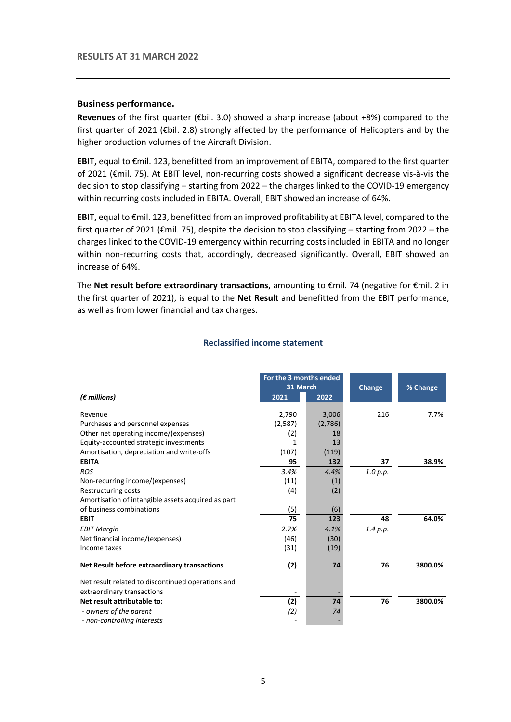#### **Business performance.**

**Revenues** of the first quarter (€bil. 3.0) showed a sharp increase (about +8%) compared to the first quarter of 2021 ( $\epsilon$ bil. 2.8) strongly affected by the performance of Helicopters and by the higher production volumes of the Aircraft Division.

**EBIT,** equal to €mil. 123, benefitted from an improvement of EBITA, compared to the first quarter of 2021 (€mil. 75). At EBIT level, non-recurring costs showed a significant decrease vis-à-vis the decision to stop classifying – starting from 2022 – the charges linked to the COVID-19 emergency within recurring costs included in EBITA. Overall, EBIT showed an increase of 64%.

**EBIT,** equal to €mil. 123, benefitted from an improved profitability at EBITA level, compared to the first quarter of 2021 (€mil. 75), despite the decision to stop classifying – starting from 2022 – the charges linked to the COVID-19 emergency within recurring costs included in EBITA and no longer within non-recurring costs that, accordingly, decreased significantly. Overall, EBIT showed an increase of 64%.

The **Net result before extraordinary transactions**, amounting to €mil. 74 (negative for €mil. 2 in the first quarter of 2021), is equal to the **Net Result** and benefitted from the EBIT performance, as well as from lower financial and tax charges.

|                                                    | For the 3 months ended |         |               |          |
|----------------------------------------------------|------------------------|---------|---------------|----------|
|                                                    | 31 March               |         | <b>Change</b> | % Change |
| $(\epsilon$ millions)                              | 2021                   | 2022    |               |          |
| Revenue                                            | 2,790                  | 3,006   | 216           | 7.7%     |
| Purchases and personnel expenses                   | (2,587)                | (2,786) |               |          |
| Other net operating income/(expenses)              | (2)                    | 18      |               |          |
| Equity-accounted strategic investments             | 1                      | 13      |               |          |
| Amortisation, depreciation and write-offs          | (107)                  | (119)   |               |          |
| <b>EBITA</b>                                       | 95                     | 132     | 37            | 38.9%    |
| <b>ROS</b>                                         | 3.4%                   | 4.4%    | 1.0 p.p.      |          |
| Non-recurring income/(expenses)                    | (11)                   | (1)     |               |          |
| Restructuring costs                                | (4)                    | (2)     |               |          |
| Amortisation of intangible assets acquired as part |                        |         |               |          |
| of business combinations                           | (5)                    | (6)     |               |          |
| <b>EBIT</b>                                        | 75                     | 123     | 48            | 64.0%    |
| <b>EBIT Margin</b>                                 | 2.7%                   | 4.1%    | 1.4 p.p.      |          |
| Net financial income/(expenses)                    | (46)                   | (30)    |               |          |
| Income taxes                                       | (31)                   | (19)    |               |          |
| Net Result before extraordinary transactions       | (2)                    | 74      | 76            | 3800.0%  |
| Net result related to discontinued operations and  |                        |         |               |          |
| extraordinary transactions                         |                        |         |               |          |
| Net result attributable to:                        | (2)                    | 74      | 76            | 3800.0%  |
| - owners of the parent                             | (2)                    | 74      |               |          |
| - non-controlling interests                        |                        |         |               |          |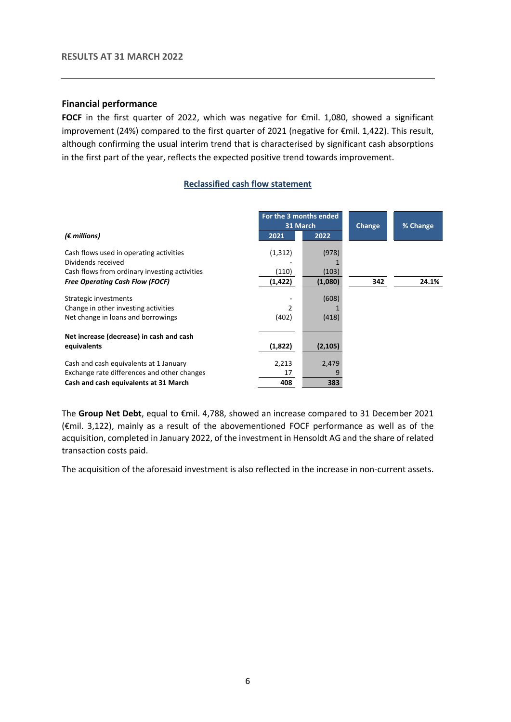#### **Financial performance**

**FOCF** in the first quarter of 2022, which was negative for €mil. 1,080, showed a significant improvement (24%) compared to the first quarter of 2021 (negative for €mil. 1,422). This result, although confirming the usual interim trend that is characterised by significant cash absorptions in the first part of the year, reflects the expected positive trend towards improvement.

#### **Reclassified cash flow statement**

|                                               | For the 3 months ended<br>31 March |          | Change | % Change |
|-----------------------------------------------|------------------------------------|----------|--------|----------|
| $(\epsilon$ millions)                         | 2021                               | 2022     |        |          |
| Cash flows used in operating activities       | (1, 312)                           | (978)    |        |          |
| Dividends received                            |                                    |          |        |          |
| Cash flows from ordinary investing activities | (110)                              | (103)    |        |          |
| <b>Free Operating Cash Flow (FOCF)</b>        | (1, 422)                           | (1,080)  | 342    | 24.1%    |
| Strategic investments                         |                                    | (608)    |        |          |
| Change in other investing activities          | 2                                  |          |        |          |
| Net change in loans and borrowings            | (402)                              | (418)    |        |          |
| Net increase (decrease) in cash and cash      |                                    |          |        |          |
| equivalents                                   | (1,822)                            | (2, 105) |        |          |
| Cash and cash equivalents at 1 January        | 2,213                              | 2,479    |        |          |
| Exchange rate differences and other changes   | 17                                 | q        |        |          |
| Cash and cash equivalents at 31 March         | 408                                | 383      |        |          |

The **Group Net Debt**, equal to €mil. 4,788, showed an increase compared to 31 December 2021 (€mil. 3,122), mainly as a result of the abovementioned FOCF performance as well as of the acquisition, completed in January 2022, of the investment in Hensoldt AG and the share of related transaction costs paid.

The acquisition of the aforesaid investment is also reflected in the increase in non-current assets.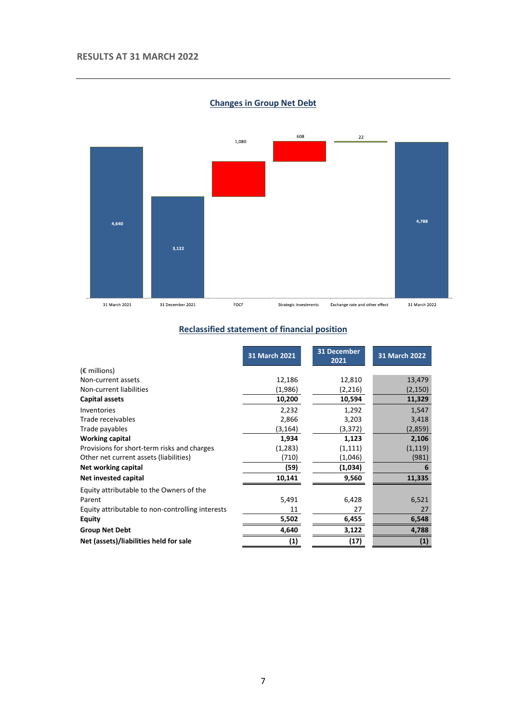

**Changes in Group Net Debt**

#### **Reclassified statement of financial position**

|                                                  | 31 March 2021 | 31 December<br>2021 | 31 March 2022     |
|--------------------------------------------------|---------------|---------------------|-------------------|
| $(E \text{ millions})$                           |               |                     |                   |
| Non-current assets                               | 12,186        | 12,810              | 13,479            |
| Non-current liabilities                          | (1,986)       | (2,216)             | (2, 150)          |
| Capital assets                                   | 10,200        | 10,594              | 11,329            |
| Inventories                                      | 2,232         | 1,292               | 1,547             |
| Trade receivables                                | 2,866         | 3,203               | 3,418             |
| Trade payables                                   | (3, 164)      | (3,372)             | (2,859)           |
| <b>Working capital</b>                           | 1,934         | 1,123               | 2,106             |
| Provisions for short-term risks and charges      | (1,283)       | (1, 111)            | (1, 119)          |
| Other net current assets (liabilities)           | (710)         | (1,046)             | (981)             |
| Net working capital                              | (59)          | (1,034)             | 6                 |
| Net invested capital                             | 10,141        | 9,560               | 11,335            |
| Equity attributable to the Owners of the         |               |                     |                   |
| Parent                                           | 5,491         | 6,428               | 6,521             |
| Equity attributable to non-controlling interests | 11            | 27                  | 27                |
| <b>Equity</b>                                    | 5,502         | 6,455               | 6,548             |
| <b>Group Net Debt</b>                            | 4,640         | 3,122               | 4,788             |
| Net (assets)/liabilities held for sale           | (1)           | (17)                | $\left( 1\right)$ |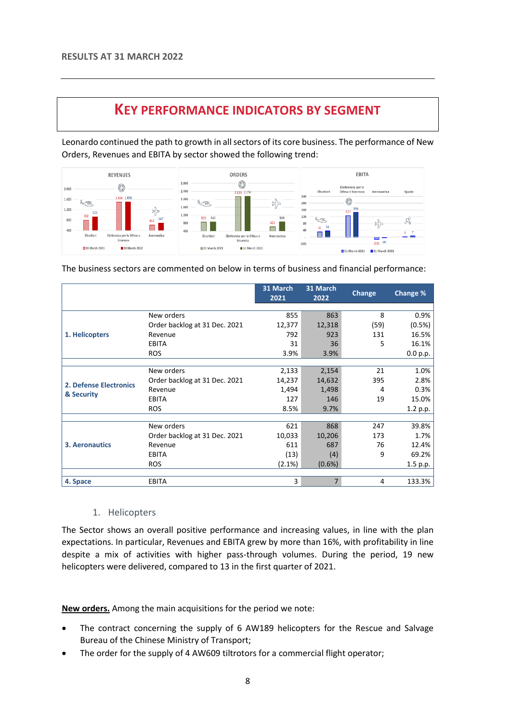### **KEY PERFORMANCE INDICATORS BY SEGMENT**

<span id="page-7-0"></span>Leonardo continued the path to growth in all sectors of its core business. The performance of New Orders, Revenues and EBITA by sector showed the following trend:



The business sectors are commented on below in terms of business and financial performance:

|                               |                               | 31 March<br>2021 | 31 March<br>2022 | <b>Change</b> | Change % |
|-------------------------------|-------------------------------|------------------|------------------|---------------|----------|
|                               |                               |                  |                  |               |          |
|                               | New orders                    | 855              | 863              | 8             | 0.9%     |
|                               | Order backlog at 31 Dec. 2021 | 12,377           | 12,318           | (59)          | (0.5%)   |
| 1. Helicopters                | Revenue                       | 792              | 923              | 131           | 16.5%    |
|                               | <b>EBITA</b>                  | 31               | 36               | 5             | 16.1%    |
|                               | <b>ROS</b>                    | 3.9%             | 3.9%             |               | 0.0 p.p. |
|                               |                               |                  |                  |               |          |
|                               | New orders                    | 2,133            | 2,154            | 21            | 1.0%     |
| <b>2. Defense Electronics</b> | Order backlog at 31 Dec. 2021 | 14,237           | 14,632           | 395           | 2.8%     |
|                               | Revenue                       | 1,494            | 1,498            | 4             | 0.3%     |
| & Security                    | <b>EBITA</b>                  | 127              | 146              | 19            | 15.0%    |
|                               | <b>ROS</b>                    | 8.5%             | 9.7%             |               | 1.2 p.p. |
|                               |                               |                  |                  |               |          |
|                               | New orders                    | 621              | 868              | 247           | 39.8%    |
|                               | Order backlog at 31 Dec. 2021 | 10,033           | 10,206           | 173           | 1.7%     |
| <b>3. Aeronautics</b>         | Revenue                       | 611              | 687              | 76            | 12.4%    |
|                               | <b>EBITA</b>                  | (13)             | (4)              | 9             | 69.2%    |
|                               | <b>ROS</b>                    | $(2.1\%)$        | $(0.6\%)$        |               | 1.5 p.p. |
|                               |                               |                  |                  |               |          |
| 4. Space                      | <b>EBITA</b>                  | 3                | $\overline{7}$   | 4             | 133.3%   |

#### 1. Helicopters

<span id="page-7-1"></span>The Sector shows an overall positive performance and increasing values, in line with the plan expectations. In particular, Revenues and EBITA grew by more than 16%, with profitability in line despite a mix of activities with higher pass-through volumes. During the period, 19 new helicopters were delivered, compared to 13 in the first quarter of 2021.

**New orders.** Among the main acquisitions for the period we note:

- The contract concerning the supply of 6 AW189 helicopters for the Rescue and Salvage Bureau of the Chinese Ministry of Transport;
- The order for the supply of 4 AW609 tiltrotors for a commercial flight operator;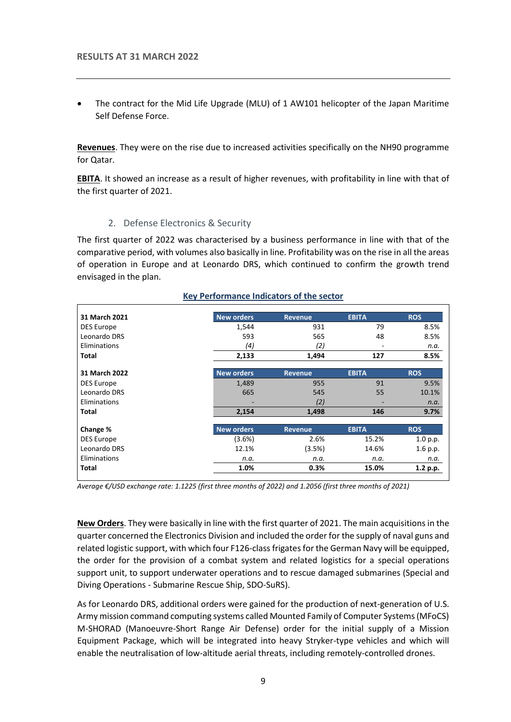The contract for the Mid Life Upgrade (MLU) of 1 AW101 helicopter of the Japan Maritime Self Defense Force.

**Revenues**. They were on the rise due to increased activities specifically on the NH90 programme for Qatar.

<span id="page-8-0"></span>**EBITA**. It showed an increase as a result of higher revenues, with profitability in line with that of the first quarter of 2021.

#### 2. Defense Electronics & Security

The first quarter of 2022 was characterised by a business performance in line with that of the comparative period, with volumes also basically in line. Profitability was on the rise in all the areas of operation in Europe and at Leonardo DRS, which continued to confirm the growth trend envisaged in the plan.

| 31 March 2021     | <b>New orders</b> | <b>Revenue</b> | <b>EBITA</b> | <b>ROS</b> |
|-------------------|-------------------|----------------|--------------|------------|
| <b>DES Europe</b> | 1,544             | 931            | 79           | 8.5%       |
| Leonardo DRS      | 593               | 565            | 48           | 8.5%       |
| Eliminations      | (4)               | (2)            | ۰            | n.a.       |
| <b>Total</b>      | 2,133             | 1,494          | 127          | 8.5%       |
| 31 March 2022     | <b>New orders</b> | <b>Revenue</b> | <b>EBITA</b> | <b>ROS</b> |
| DES Europe        | 1,489             | 955            | 91           | 9.5%       |
| Leonardo DRS      | 665               | 545            | 55           | 10.1%      |
| Eliminations      |                   | (2)            |              | n.a.       |
| <b>Total</b>      | 2,154             | 1,498          | 146          | 9.7%       |
| Change %          | <b>New orders</b> | <b>Revenue</b> | <b>EBITA</b> | <b>ROS</b> |
| <b>DES Europe</b> | (3.6%)            | 2.6%           | 15.2%        | 1.0 p.p.   |
| Leonardo DRS      | 12.1%             | (3.5%)         | 14.6%        | 1.6 p.p.   |
| Eliminations      | n.a.              | n.a.           | n.a.         | n.a.       |
| <b>Total</b>      | 1.0%              | 0.3%           | 15.0%        | 1.2 p.p.   |

#### **Key Performance Indicators of the sector**

*Average €/USD exchange rate: 1.1225 (first three months of 2022) and 1.2056 (first three months of 2021)*

**New Orders**. They were basically in line with the first quarter of 2021. The main acquisitions in the quarter concerned the Electronics Division and included the order for the supply of naval guns and related logistic support, with which four F126-class frigates for the German Navy will be equipped, the order for the provision of a combat system and related logistics for a special operations support unit, to support underwater operations and to rescue damaged submarines (Special and Diving Operations - Submarine Rescue Ship, SDO-SuRS).

As for Leonardo DRS, additional orders were gained for the production of next-generation of U.S. Army mission command computing systems called Mounted Family of Computer Systems (MFoCS) M-SHORAD (Manoeuvre-Short Range Air Defense) order for the initial supply of a Mission Equipment Package, which will be integrated into heavy Stryker-type vehicles and which will enable the neutralisation of low-altitude aerial threats, including remotely-controlled drones.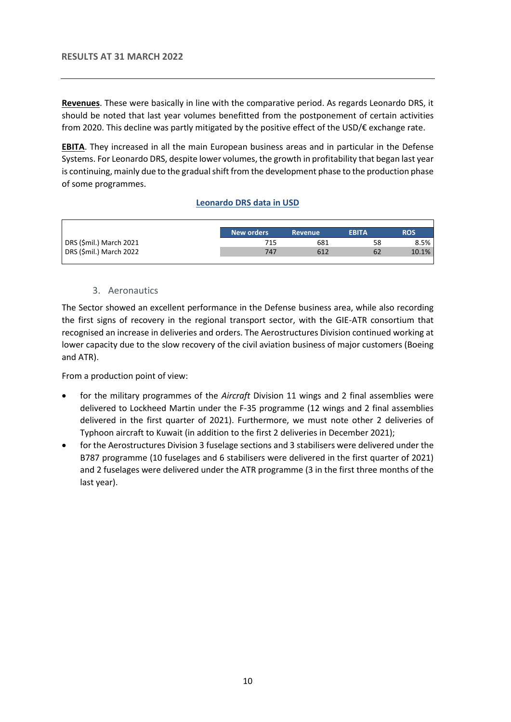**Revenues**. These were basically in line with the comparative period. As regards Leonardo DRS, it should be noted that last year volumes benefitted from the postponement of certain activities from 2020. This decline was partly mitigated by the positive effect of the USD/€ exchange rate.

**EBITA**. They increased in all the main European business areas and in particular in the Defense Systems. For Leonardo DRS, despite lower volumes, the growth in profitability that began last year is continuing, mainly due to the gradual shift from the development phase to the production phase of some programmes.

#### **Leonardo DRS data in USD**

|                         | <b>New orders</b> | <b>Revenue</b> | <b>EBITA</b> | ROS   |
|-------------------------|-------------------|----------------|--------------|-------|
| DRS (\$mil.) March 2021 | 715               | 681            | 58           | 8.5%  |
| DRS (\$mil.) March 2022 | 747               | 612            | 62           | 10.1% |
|                         |                   |                |              |       |

#### 3. Aeronautics

<span id="page-9-0"></span>The Sector showed an excellent performance in the Defense business area, while also recording the first signs of recovery in the regional transport sector, with the GIE-ATR consortium that recognised an increase in deliveries and orders. The Aerostructures Division continued working at lower capacity due to the slow recovery of the civil aviation business of major customers (Boeing and ATR).

From a production point of view:

- for the military programmes of the *Aircraft* Division 11 wings and 2 final assemblies were delivered to Lockheed Martin under the F-35 programme (12 wings and 2 final assemblies delivered in the first quarter of 2021). Furthermore, we must note other 2 deliveries of Typhoon aircraft to Kuwait (in addition to the first 2 deliveries in December 2021);
- for the Aerostructures Division 3 fuselage sections and 3 stabilisers were delivered under the B787 programme (10 fuselages and 6 stabilisers were delivered in the first quarter of 2021) and 2 fuselages were delivered under the ATR programme (3 in the first three months of the last year).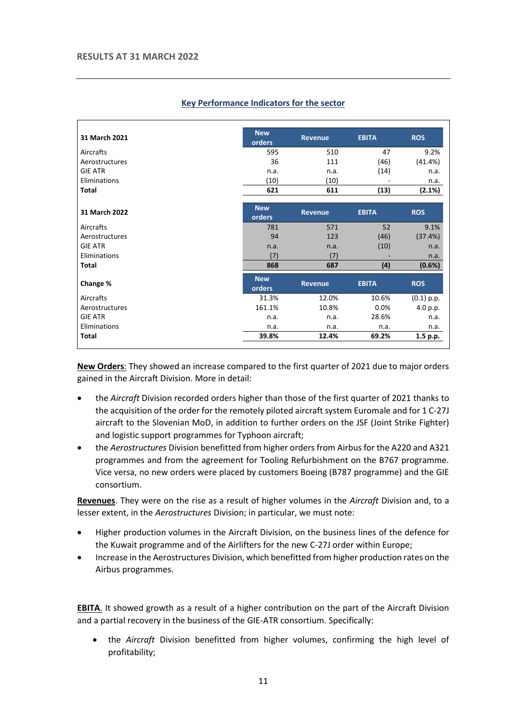| 31 March 2021  | <b>New</b><br>orders | <b>Revenue</b> | <b>EBITA</b> | <b>ROS</b>   |
|----------------|----------------------|----------------|--------------|--------------|
| Aircrafts      | 595                  | 510            | 47           | 9.2%         |
| Aerostructures | 36                   | 111            | (46)         | (41.4%)      |
| <b>GIE ATR</b> | n.a.                 | n.a.           | (14)         | n.a.         |
| Eliminations   | (10)                 | (10)           |              | n.a.         |
| <b>Total</b>   | 621                  | 611            | (13)         | (2.1%)       |
| 31 March 2022  | <b>New</b><br>orders | Revenue        | <b>EBITA</b> | <b>ROS</b>   |
| Aircrafts      | 781                  | 571            | 52           | 9.1%         |
| Aerostructures | 94                   | 123            | (46)         | (37.4%)      |
| <b>GIE ATR</b> | n.a.                 | n.a.           | (10)         | n.a.         |
| Eliminations   | (7)                  | (7)            |              | n.a.         |
| <b>Total</b>   | 868                  | 687            | (4)          | (0.6%)       |
| Change %       | <b>New</b><br>orders | <b>Revenue</b> | <b>EBITA</b> | <b>ROS</b>   |
| Aircrafts      | 31.3%                | 12.0%          | 10.6%        | $(0.1)$ p.p. |
| Aerostructures | 161.1%               | 10.8%          | 0.0%         | 4.0 p.p.     |
| <b>GIE ATR</b> | n.a.                 | n.a.           | 28.6%        | n.a.         |
| Eliminations   | n.a.                 | n.a.           | n.a.         | n.a.         |
| <b>Total</b>   | 39.8%                | 12.4%          | 69.2%        | 1.5 p.p.     |

#### **Key Performance Indicators for the sector**

**New Orders**: They showed an increase compared to the first quarter of 2021 due to major orders gained in the Aircraft Division. More in detail:

- the *Aircraft* Division recorded orders higher than those of the first quarter of 2021 thanks to the acquisition of the order for the remotely piloted aircraft system Euromale and for 1 C-27J aircraft to the Slovenian MoD, in addition to further orders on the JSF (Joint Strike Fighter) and logistic support programmes for Typhoon aircraft;
- the *Aerostructures* Division benefitted from higher orders from Airbus for the A220 and A321 programmes and from the agreement for Tooling Refurbishment on the B767 programme. Vice versa, no new orders were placed by customers Boeing (B787 programme) and the GIE consortium.

**Revenues**. They were on the rise as a result of higher volumes in the *Aircraft* Division and, to a lesser extent, in the *Aerostructures* Division; in particular, we must note:

- Higher production volumes in the Aircraft Division, on the business lines of the defence for the Kuwait programme and of the Airlifters for the new C-27J order within Europe;
- Increase in the Aerostructures Division, which benefitted from higher production rates on the Airbus programmes.

**EBITA**. It showed growth as a result of a higher contribution on the part of the Aircraft Division and a partial recovery in the business of the GIE-ATR consortium. Specifically:

• the *Aircraft* Division benefitted from higher volumes, confirming the high level of profitability;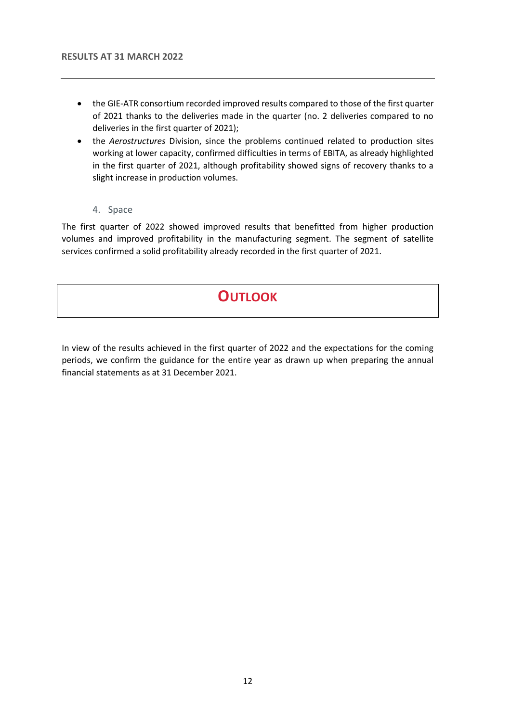- the GIE-ATR consortium recorded improved results compared to those of the first quarter of 2021 thanks to the deliveries made in the quarter (no. 2 deliveries compared to no deliveries in the first quarter of 2021);
- the *Aerostructures* Division, since the problems continued related to production sites working at lower capacity, confirmed difficulties in terms of EBITA, as already highlighted in the first quarter of 2021, although profitability showed signs of recovery thanks to a slight increase in production volumes.
	- 4. Space

<span id="page-11-0"></span>The first quarter of 2022 showed improved results that benefitted from higher production volumes and improved profitability in the manufacturing segment. The segment of satellite services confirmed a solid profitability already recorded in the first quarter of 2021.

# **OUTLOOK**

<span id="page-11-1"></span>In view of the results achieved in the first quarter of 2022 and the expectations for the coming periods, we confirm the guidance for the entire year as drawn up when preparing the annual financial statements as at 31 December 2021.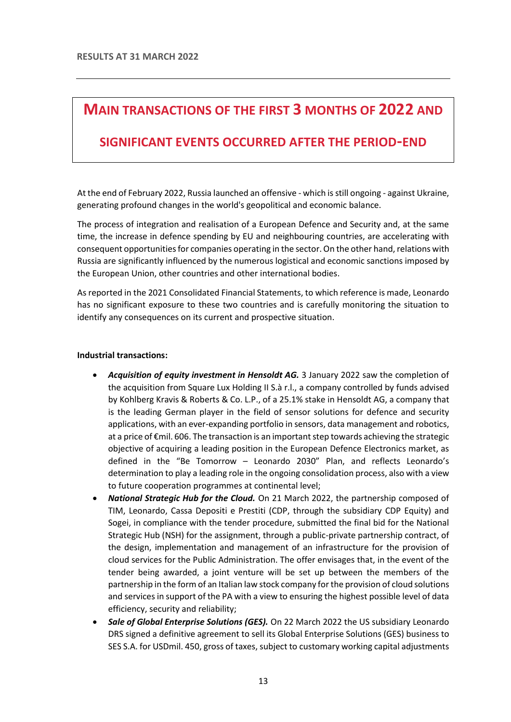# <span id="page-12-0"></span>**MAIN TRANSACTIONS OF THE FIRST 3 MONTHS OF 2022 AND**

### **SIGNIFICANT EVENTS OCCURRED AFTER THE PERIOD-END**

At the end of February 2022, Russia launched an offensive - which is still ongoing - against Ukraine, generating profound changes in the world's geopolitical and economic balance.

The process of integration and realisation of a European Defence and Security and, at the same time, the increase in defence spending by EU and neighbouring countries, are accelerating with consequent opportunities for companies operating in the sector. On the other hand, relations with Russia are significantly influenced by the numerous logistical and economic sanctions imposed by the European Union, other countries and other international bodies.

As reported in the 2021 Consolidated Financial Statements, to which reference is made, Leonardo has no significant exposure to these two countries and is carefully monitoring the situation to identify any consequences on its current and prospective situation.

#### **Industrial transactions:**

- *Acquisition of equity investment in Hensoldt AG.* 3 January 2022 saw the completion of the acquisition from Square Lux Holding II S.à r.l., a company controlled by funds advised by Kohlberg Kravis & Roberts & Co. L.P., of a 25.1% stake in Hensoldt AG, a company that is the leading German player in the field of sensor solutions for defence and security applications, with an ever-expanding portfolio in sensors, data management and robotics, at a price of €mil. 606. The transaction is an important step towards achieving the strategic objective of acquiring a leading position in the European Defence Electronics market, as defined in the "Be Tomorrow – Leonardo 2030" Plan, and reflects Leonardo's determination to play a leading role in the ongoing consolidation process, also with a view to future cooperation programmes at continental level;
- *National Strategic Hub for the Cloud.* On 21 March 2022, the partnership composed of TIM, Leonardo, Cassa Depositi e Prestiti (CDP, through the subsidiary CDP Equity) and Sogei, in compliance with the tender procedure, submitted the final bid for the National Strategic Hub (NSH) for the assignment, through a public-private partnership contract, of the design, implementation and management of an infrastructure for the provision of cloud services for the Public Administration. The offer envisages that, in the event of the tender being awarded, a joint venture will be set up between the members of the partnership in the form of an Italian law stock company for the provision of cloud solutions and services in support of the PA with a view to ensuring the highest possible level of data efficiency, security and reliability;
- *Sale of Global Enterprise Solutions (GES).* On 22 March 2022 the US subsidiary Leonardo DRS signed a definitive agreement to sell its Global Enterprise Solutions (GES) business to SES S.A. for USDmil. 450, gross of taxes, subject to customary working capital adjustments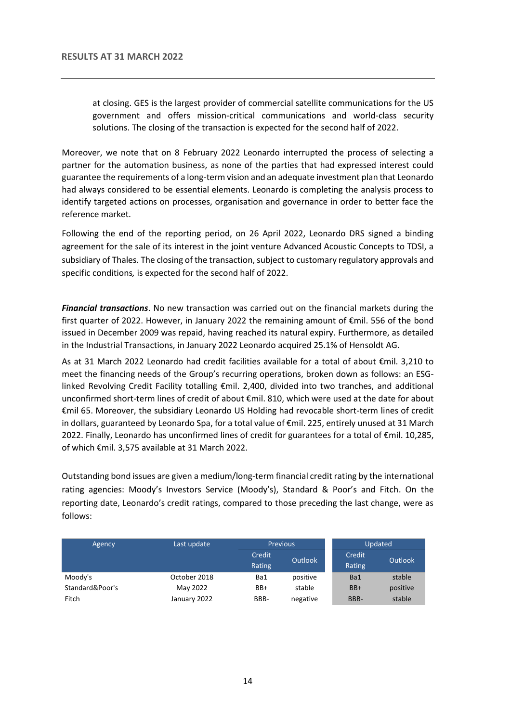at closing. GES is the largest provider of commercial satellite communications for the US government and offers mission-critical communications and world-class security solutions. The closing of the transaction is expected for the second half of 2022.

Moreover, we note that on 8 February 2022 Leonardo interrupted the process of selecting a partner for the automation business, as none of the parties that had expressed interest could guarantee the requirements of a long-term vision and an adequate investment plan that Leonardo had always considered to be essential elements. Leonardo is completing the analysis process to identify targeted actions on processes, organisation and governance in order to better face the reference market.

Following the end of the reporting period, on 26 April 2022, Leonardo DRS signed a binding agreement for the sale of its interest in the joint venture Advanced Acoustic Concepts to TDSI, a subsidiary of Thales. The closing of the transaction, subject to customary regulatory approvals and specific conditions*,* is expected for the second half of 2022.

*Financial transactions*. No new transaction was carried out on the financial markets during the first quarter of 2022. However, in January 2022 the remaining amount of €mil. 556 of the bond issued in December 2009 was repaid, having reached its natural expiry. Furthermore, as detailed in the Industrial Transactions, in January 2022 Leonardo acquired 25.1% of Hensoldt AG.

As at 31 March 2022 Leonardo had credit facilities available for a total of about €mil. 3,210 to meet the financing needs of the Group's recurring operations, broken down as follows: an ESGlinked Revolving Credit Facility totalling €mil. 2,400, divided into two tranches, and additional unconfirmed short-term lines of credit of about €mil. 810, which were used at the date for about €mil 65. Moreover, the subsidiary Leonardo US Holding had revocable short-term lines of credit in dollars, guaranteed by Leonardo Spa, for a total value of €mil. 225, entirely unused at 31 March 2022. Finally, Leonardo has unconfirmed lines of credit for guarantees for a total of €mil. 10,285, of which €mil. 3,575 available at 31 March 2022.

Outstanding bond issues are given a medium/long-term financial credit rating by the international rating agencies: Moody's Investors Service (Moody's), Standard & Poor's and Fitch. On the reporting date, Leonardo's credit ratings, compared to those preceding the last change, were as follows:

| Agency          | Last update  | <b>Previous</b>  |                | Updated          |          |
|-----------------|--------------|------------------|----------------|------------------|----------|
|                 |              | Credit<br>Rating | <b>Outlook</b> | Credit<br>Rating | Outlook  |
| Moody's         | October 2018 | Ba1              | positive       | Ba1              | stable   |
| Standard&Poor's | May 2022     | BB+              | stable         | $BB+$            | positive |
| Fitch           | January 2022 | BBB-             | negative       | BBB-             | stable   |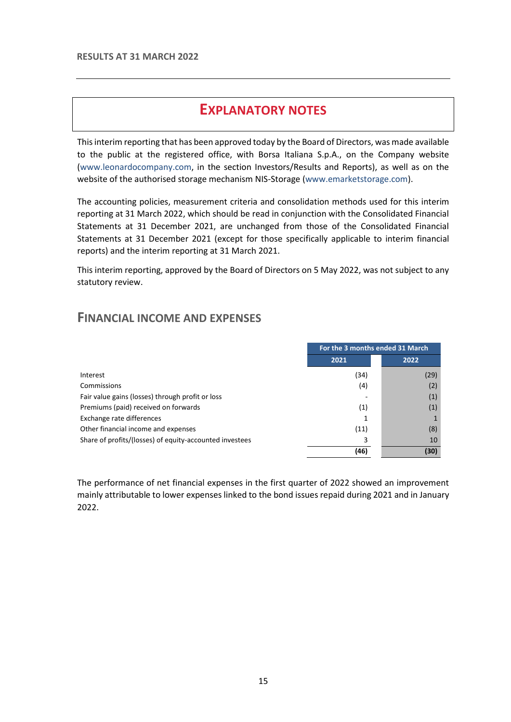# **EXPLANATORY NOTES**

<span id="page-14-0"></span>This interim reporting that has been approved today by the Board of Directors, was made available to the public at the registered office, with Borsa Italiana S.p.A., on the Company website [\(www.leonardocompany.com,](http://www.leonardocompany.com/) in the section Investors/Results and Reports), as well as on the website of the authorised storage mechanism NIS-Storage [\(www.emarketstorage.com\)](http://www.emarketstorage.com/).

The accounting policies, measurement criteria and consolidation methods used for this interim reporting at 31 March 2022, which should be read in conjunction with the Consolidated Financial Statements at 31 December 2021, are unchanged from those of the Consolidated Financial Statements at 31 December 2021 (except for those specifically applicable to interim financial reports) and the interim reporting at 31 March 2021.

This interim reporting, approved by the Board of Directors on 5 May 2022, was not subject to any statutory review.

### <span id="page-14-1"></span>**FINANCIAL INCOME AND EXPENSES**

|                                                         | For the 3 months ended 31 March |      |  |
|---------------------------------------------------------|---------------------------------|------|--|
|                                                         | 2021                            | 2022 |  |
| Interest                                                | (34)                            | (29) |  |
| Commissions                                             | (4)                             | (2)  |  |
| Fair value gains (losses) through profit or loss        |                                 | (1)  |  |
| Premiums (paid) received on forwards                    | (1)                             | (1)  |  |
| Exchange rate differences                               |                                 |      |  |
| Other financial income and expenses                     | (11)                            | (8)  |  |
| Share of profits/(losses) of equity-accounted investees | 3                               | 10   |  |
|                                                         | (46)                            | (30) |  |

The performance of net financial expenses in the first quarter of 2022 showed an improvement mainly attributable to lower expenses linked to the bond issues repaid during 2021 and in January 2022.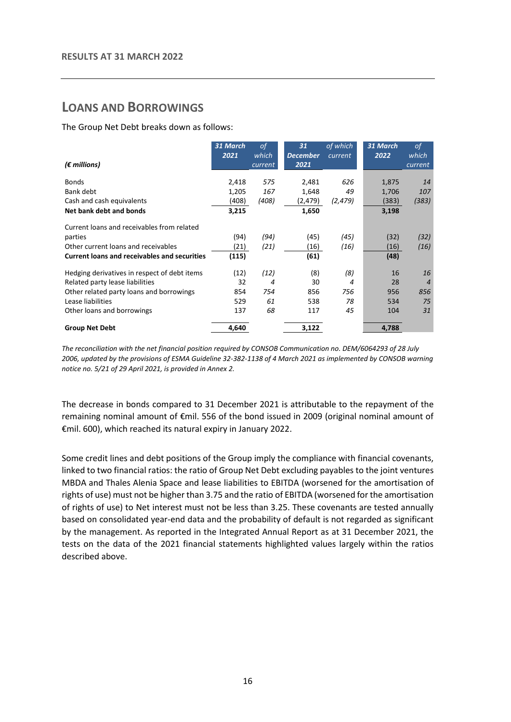### <span id="page-15-0"></span>**LOANS AND BORROWINGS**

The Group Net Debt breaks down as follows:

|                                                     | 31 March | 0f      | 31              | of which | 31 March | <sub>of</sub>  |
|-----------------------------------------------------|----------|---------|-----------------|----------|----------|----------------|
|                                                     | 2021     | which   | <b>December</b> | current  | 2022     | which          |
| $(\epsilon$ millions)                               |          | current | 2021            |          |          | current        |
| <b>Bonds</b>                                        |          | 575     | 2,481           | 626      | 1,875    | 14             |
|                                                     | 2,418    |         |                 |          |          |                |
| Bank debt                                           | 1,205    | 167     | 1,648           | 49       | 1,706    | 107            |
| Cash and cash equivalents                           | (408)    | (408)   | (2,479)         | (2, 479) | (383)    | (383)          |
| Net bank debt and bonds                             | 3,215    |         | 1,650           |          | 3,198    |                |
| Current loans and receivables from related          |          |         |                 |          |          |                |
| parties                                             | (94)     | (94)    | (45)            | (45)     | (32)     | (32)           |
| Other current loans and receivables                 | (21)     | (21)    | (16)            | (16)     | (16)     | (16)           |
| <b>Current loans and receivables and securities</b> | (115)    |         | (61)            |          | (48)     |                |
| Hedging derivatives in respect of debt items        | (12)     | (12)    | (8)             | (8)      | 16       | 16             |
| Related party lease liabilities                     | 32       | 4       | 30              | 4        | 28       | $\overline{4}$ |
| Other related party loans and borrowings            | 854      | 754     | 856             | 756      | 956      | 856            |
| Lease liabilities                                   | 529      | 61      | 538             | 78       | 534      | 75             |
| Other loans and borrowings                          | 137      | 68      | 117             | 45       | 104      | 31             |
| <b>Group Net Debt</b>                               | 4,640    |         | 3,122           |          | 4,788    |                |

*The reconciliation with the net financial position required by CONSOB Communication no. DEM/6064293 of 28 July 2006, updated by the provisions of ESMA Guideline 32-382-1138 of 4 March 2021 as implemented by CONSOB warning notice no. 5/21 of 29 April 2021, is provided in Annex 2.* 

The decrease in bonds compared to 31 December 2021 is attributable to the repayment of the remaining nominal amount of €mil. 556 of the bond issued in 2009 (original nominal amount of €mil. 600), which reached its natural expiry in January 2022.

Some credit lines and debt positions of the Group imply the compliance with financial covenants, linked to two financial ratios: the ratio of Group Net Debt excluding payables to the joint ventures MBDA and Thales Alenia Space and lease liabilities to EBITDA (worsened for the amortisation of rights of use) must not be higher than 3.75 and the ratio of EBITDA (worsened for the amortisation of rights of use) to Net interest must not be less than 3.25. These covenants are tested annually based on consolidated year-end data and the probability of default is not regarded as significant by the management. As reported in the Integrated Annual Report as at 31 December 2021, the tests on the data of the 2021 financial statements highlighted values largely within the ratios described above.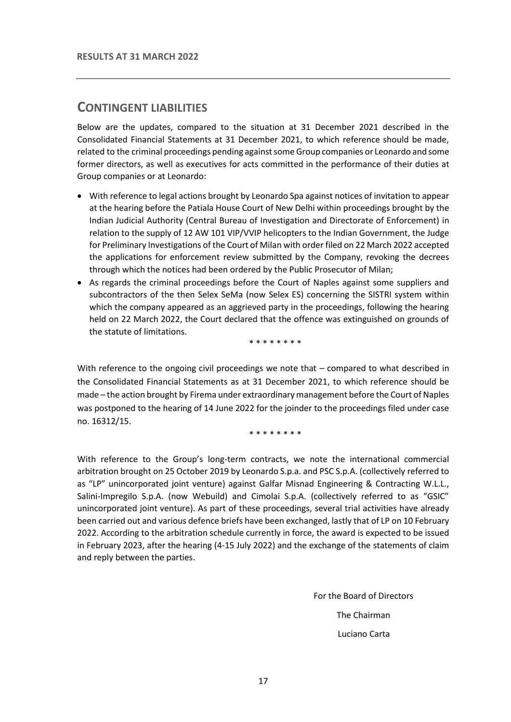### <span id="page-16-0"></span>**CONTINGENT LIABILITIES**

Below are the updates, compared to the situation at 31 December 2021 described in the Consolidated Financial Statements at 31 December 2021, to which reference should be made, related to the criminal proceedings pending against some Group companies or Leonardo and some former directors, as well as executives for acts committed in the performance of their duties at Group companies or at Leonardo:

- With reference to legal actions brought by Leonardo Spa against notices of invitation to appear at the hearing before the Patiala House Court of New Delhi within proceedings brought by the Indian Judicial Authority (Central Bureau of Investigation and Directorate of Enforcement) in relation to the supply of 12 AW 101 VIP/VVIP helicopters to the Indian Government, the Judge for Preliminary Investigations of the Court of Milan with order filed on 22 March 2022 accepted the applications for enforcement review submitted by the Company, revoking the decrees through which the notices had been ordered by the Public Prosecutor of Milan;
- As regards the criminal proceedings before the Court of Naples against some suppliers and subcontractors of the then Selex SeMa (now Selex ES) concerning the SISTRI system within which the company appeared as an aggrieved party in the proceedings, following the hearing held on 22 March 2022, the Court declared that the offence was extinguished on grounds of the statute of limitations.

\* \* \* \* \* \* \* \*

With reference to the ongoing civil proceedings we note that – compared to what described in the Consolidated Financial Statements as at 31 December 2021, to which reference should be made – the action brought by Firema under extraordinary management before the Court of Naples was postponed to the hearing of 14 June 2022 for the joinder to the proceedings filed under case no. 16312/15.

\* \* \* \* \* \* \* \*

With reference to the Group's long-term contracts, we note the international commercial arbitration brought on 25 October 2019 by Leonardo S.p.a. and PSC S.p.A. (collectively referred to as "LP" unincorporated joint venture) against Galfar Misnad Engineering & Contracting W.L.L., Salini-Impregilo S.p.A. (now Webuild) and Cimolai S.p.A. (collectively referred to as "GSIC" unincorporated joint venture). As part of these proceedings, several trial activities have already been carried out and various defence briefs have been exchanged, lastly that of LP on 10 February 2022. According to the arbitration schedule currently in force, the award is expected to be issued in February 2023, after the hearing (4-15 July 2022) and the exchange of the statements of claim and reply between the parties.

> For the Board of Directors The Chairman Luciano Carta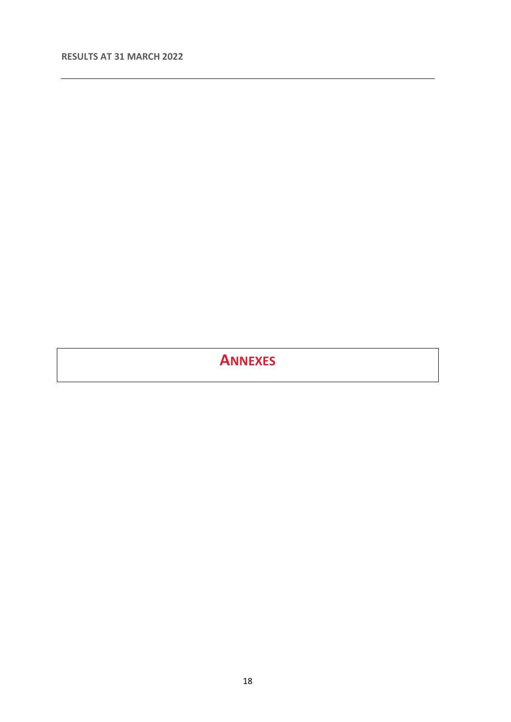# <span id="page-17-0"></span>**ANNEXES**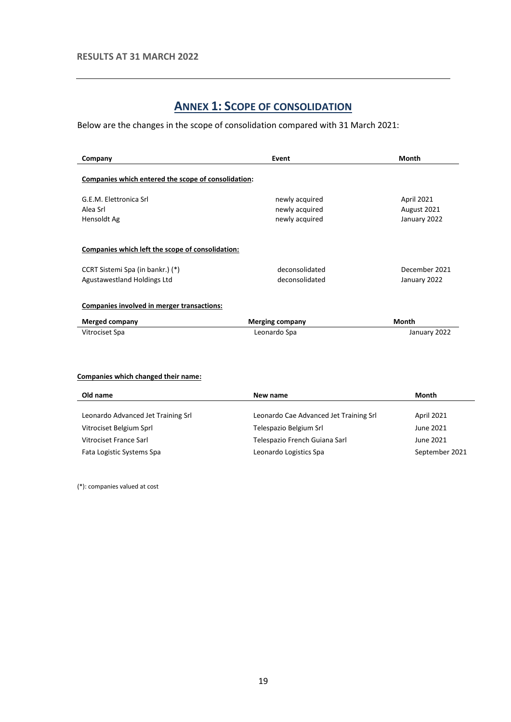# **ANNEX 1: SCOPE OF CONSOLIDATION**

<span id="page-18-0"></span>Below are the changes in the scope of consolidation compared with 31 March 2021:

| Company                                                                                                             | Event                            | Month                         |
|---------------------------------------------------------------------------------------------------------------------|----------------------------------|-------------------------------|
| Companies which entered the scope of consolidation:                                                                 |                                  |                               |
| G.E.M. Elettronica Srl                                                                                              | newly acquired                   | April 2021                    |
| Alea Srl                                                                                                            | newly acquired                   | August 2021                   |
| Hensoldt Ag                                                                                                         | newly acquired                   | January 2022                  |
| Companies which left the scope of consolidation:<br>CCRT Sistemi Spa (in bankr.) (*)<br>Agustawestland Holdings Ltd | deconsolidated<br>deconsolidated | December 2021<br>January 2022 |
| Companies involved in merger transactions:                                                                          |                                  |                               |
| <b>Merged company</b>                                                                                               | <b>Merging company</b>           | Month                         |
| Vitrociset Spa                                                                                                      | Leonardo Spa                     | January 2022                  |

#### **Companies which changed their name:**

| New name                      | Month                                                            |
|-------------------------------|------------------------------------------------------------------|
|                               | April 2021                                                       |
|                               | June 2021                                                        |
| Telespazio French Guiana Sarl | June 2021                                                        |
| Leonardo Logistics Spa        | September 2021                                                   |
|                               | Leonardo Cae Advanced Jet Training Srl<br>Telespazio Belgium Srl |

(\*): companies valued at cost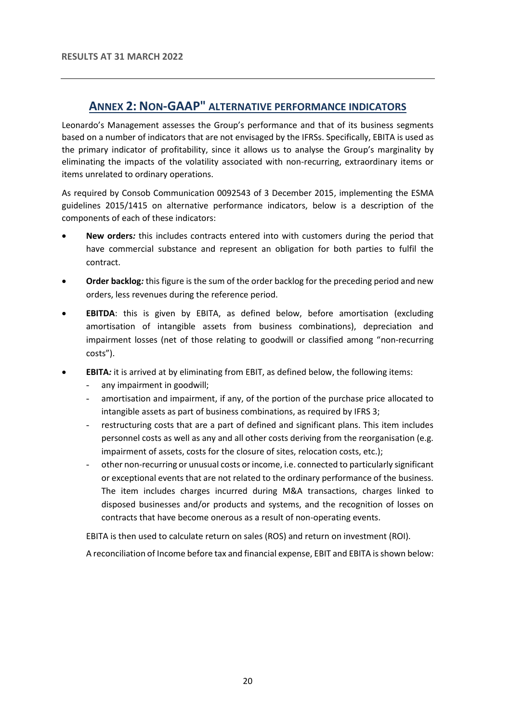### **ANNEX 2: NON-GAAP" ALTERNATIVE PERFORMANCE INDICATORS**

<span id="page-19-0"></span>Leonardo's Management assesses the Group's performance and that of its business segments based on a number of indicators that are not envisaged by the IFRSs. Specifically, EBITA is used as the primary indicator of profitability, since it allows us to analyse the Group's marginality by eliminating the impacts of the volatility associated with non-recurring, extraordinary items or items unrelated to ordinary operations.

As required by Consob Communication 0092543 of 3 December 2015, implementing the ESMA guidelines 2015/1415 on alternative performance indicators, below is a description of the components of each of these indicators:

- **New orders***:* this includes contracts entered into with customers during the period that have commercial substance and represent an obligation for both parties to fulfil the contract.
- **Order backlog***:* this figure is the sum of the order backlog for the preceding period and new orders, less revenues during the reference period.
- **EBITDA**: this is given by EBITA, as defined below, before amortisation (excluding amortisation of intangible assets from business combinations), depreciation and impairment losses (net of those relating to goodwill or classified among "non-recurring costs").
- **EBITA***:* it is arrived at by eliminating from EBIT, as defined below, the following items:
	- any impairment in goodwill;
	- amortisation and impairment, if any, of the portion of the purchase price allocated to intangible assets as part of business combinations, as required by IFRS 3;
	- restructuring costs that are a part of defined and significant plans. This item includes personnel costs as well as any and all other costs deriving from the reorganisation (e.g. impairment of assets, costs for the closure of sites, relocation costs, etc.);
	- other non-recurring or unusual costs or income, i.e. connected to particularly significant or exceptional events that are not related to the ordinary performance of the business. The item includes charges incurred during M&A transactions, charges linked to disposed businesses and/or products and systems, and the recognition of losses on contracts that have become onerous as a result of non-operating events.

EBITA is then used to calculate return on sales (ROS) and return on investment (ROI).

A reconciliation of Income before tax and financial expense, EBIT and EBITA is shown below: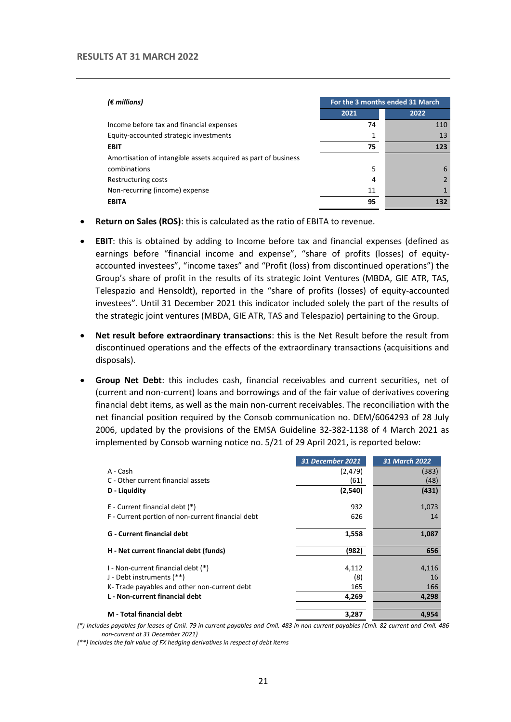#### **RESULTS AT 31 MARCH 2022**

| $(\epsilon$ millions)                                          | For the 3 months ended 31 March |      |  |
|----------------------------------------------------------------|---------------------------------|------|--|
|                                                                | 2021                            | 2022 |  |
| Income before tax and financial expenses                       | 74                              | 110  |  |
| Equity-accounted strategic investments                         | 1                               | 13   |  |
| <b>EBIT</b>                                                    | 75                              | 123  |  |
| Amortisation of intangible assets acquired as part of business |                                 |      |  |
| combinations                                                   | 5                               | 6    |  |
| Restructuring costs                                            | 4                               |      |  |
| Non-recurring (income) expense                                 | 11                              |      |  |
| <b>EBITA</b>                                                   | 95                              | 132  |  |

- **Return on Sales (ROS)**: this is calculated as the ratio of EBITA to revenue.
- **EBIT**: this is obtained by adding to Income before tax and financial expenses (defined as earnings before "financial income and expense", "share of profits (losses) of equityaccounted investees", "income taxes" and "Profit (loss) from discontinued operations") the Group's share of profit in the results of its strategic Joint Ventures (MBDA, GIE ATR, TAS, Telespazio and Hensoldt), reported in the "share of profits (losses) of equity-accounted investees". Until 31 December 2021 this indicator included solely the part of the results of the strategic joint ventures (MBDA, GIE ATR, TAS and Telespazio) pertaining to the Group.
- **Net result before extraordinary transactions**: this is the Net Result before the result from discontinued operations and the effects of the extraordinary transactions (acquisitions and disposals).
- **Group Net Debt**: this includes cash, financial receivables and current securities, net of (current and non-current) loans and borrowings and of the fair value of derivatives covering financial debt items, as well as the main non-current receivables. The reconciliation with the net financial position required by the Consob communication no. DEM/6064293 of 28 July 2006, updated by the provisions of the EMSA Guideline 32-382-1138 of 4 March 2021 as implemented by Consob warning notice no. 5/21 of 29 April 2021, is reported below:

|                                                   | <b>31 December 2021</b> | <b>31 March 2022</b> |
|---------------------------------------------------|-------------------------|----------------------|
| A - Cash                                          | (2, 479)                | (383)                |
| C - Other current financial assets                | (61)                    | (48)                 |
| D - Liquidity                                     | (2,540)                 | (431)                |
| E - Current financial debt (*)                    | 932                     | 1,073                |
| F - Current portion of non-current financial debt | 626                     | 14                   |
| <b>G</b> - Current financial debt                 | 1,558                   | 1,087                |
| H - Net current financial debt (funds)            | (982)                   | 656                  |
| I - Non-current financial debt (*)                | 4,112                   | 4,116                |
| J - Debt instruments (**)                         | (8)                     | 16                   |
| K-Trade payables and other non-current debt       | 165                     | 166                  |
| L - Non-current financial debt                    | 4.269                   | 4,298                |
| M - Total financial debt                          | 3,287                   | 4,954                |

*(\*) Includes payables for leases of €mil. 79 in current payables and €mil. 483 in non-current payables (€mil. 82 current and €mil. 486 non-current at 31 December 2021)*

*(\*\*) Includes the fair value of FX hedging derivatives in respect of debt items*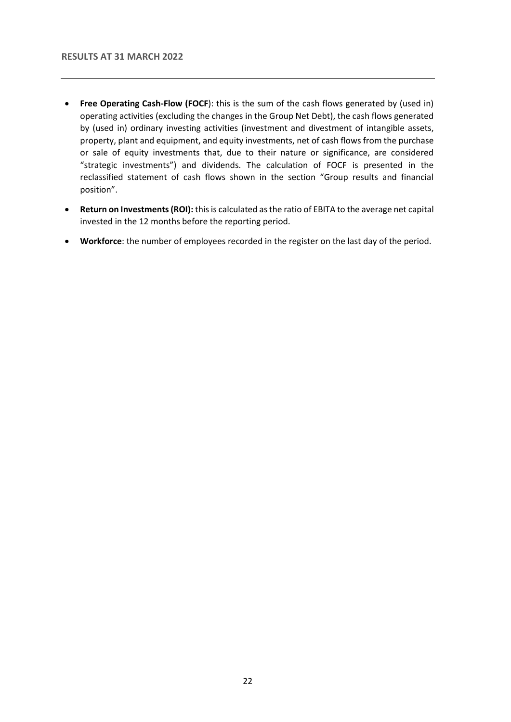- **Free Operating Cash-Flow (FOCF**): this is the sum of the cash flows generated by (used in) operating activities (excluding the changes in the Group Net Debt), the cash flows generated by (used in) ordinary investing activities (investment and divestment of intangible assets, property, plant and equipment, and equity investments, net of cash flows from the purchase or sale of equity investments that, due to their nature or significance, are considered "strategic investments") and dividends. The calculation of FOCF is presented in the reclassified statement of cash flows shown in the section "Group results and financial position".
- **Return on Investments (ROI):** this is calculated as the ratio of EBITA to the average net capital invested in the 12 months before the reporting period.
- **Workforce**: the number of employees recorded in the register on the last day of the period.